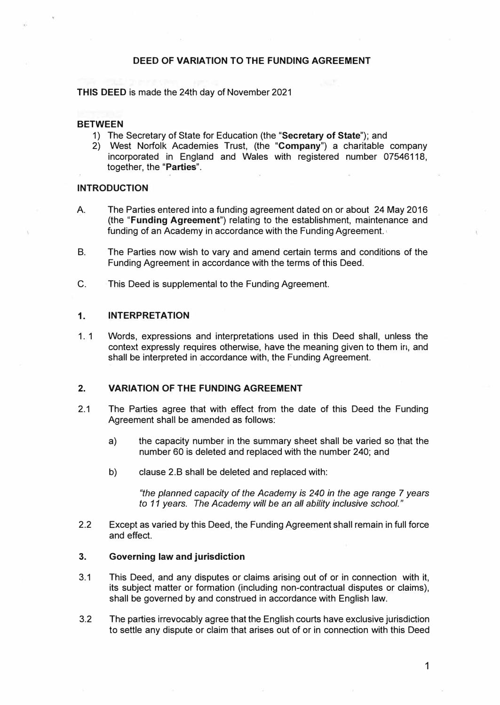# **DEED OF VARIATION TO THE FUNDING AGREEMENT**

**THIS DEED** is made the 24th day of November 2021

# **BETWEEN**

- 1) The Secretary of State for Education (the **"Secretary of State");** and
- 2) West Norfolk Academies Trust, (the **"Company")** a charitable company incorporated in England and Wales with registered number 07546118, together, the **"Parties".**

## **INTRODUCTION**

- A. The Parties entered into a funding agreement dated on or about 24 May 2016 (the **"Funding Agreement")** relating to the establishment, maintenance and funding of an Academy in accordance with the Funding Agreement.
- B. The Parties now wish to vary and amend certain terms and conditions of the Funding Agreement in accordance with the terms of this Deed.
- C. This Deed is supplemental to the Funding Agreement.

## **1. INTERPRETATION**

1. 1 Words, expressions and interpretations used in this Deed shall, unless the context expressly requires otherwise, have the meaning given to them in, and shall be interpreted in accordance with, the Funding Agreement.

### **2. VARIATION OF THE FUNDING AGREEMENT**

- 2.1 The Parties agree that with effect from the date of this Deed the Funding Agreement shall be amended as follows:
	- a) the capacity number in the summary sheet shall be varied so that the number 60 is deleted and replaced with the number 240; and
	- b) clause 2.B shall be deleted and replaced with:

*"the planned capacity of the Academy is 240 in the age range* 7 *years to 11 years. The Academy will be an all ability inclusive school."*

2.2 Except as varied by this Deed, the Funding Agreement shall remain in full force and effect.

#### **3. Governing law and jurisdiction**

- 3.1 This Deed, and any disputes or claims arising out of or in connection with it, its subject matter or formation (including non-contractual disputes or claims), shall be governed by and construed in accordance with English law.
- 3.2 The parties irrevocably agree that the English courts have exclusive jurisdiction to settle any dispute or claim that arises out of or in connection with this Deed

1